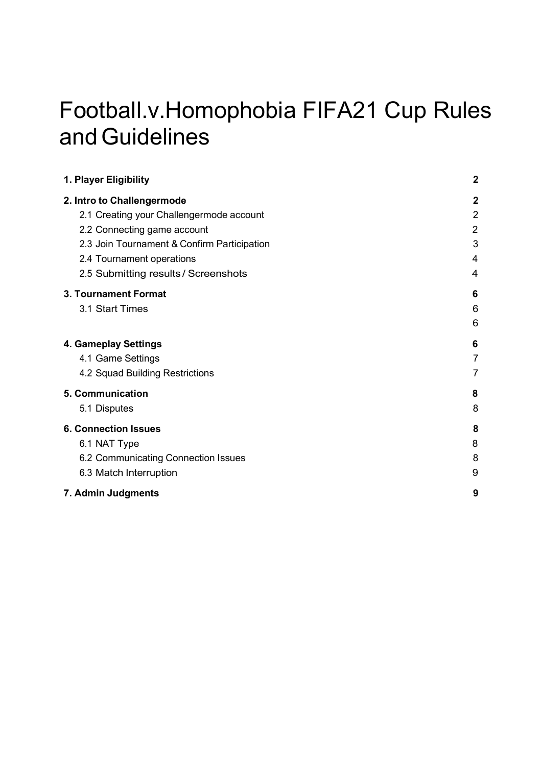# Football.v.Homophobia FIFA21 Cup Rules and Guidelines

| 1. Player Eligibility                       | $\mathbf 2$ |
|---------------------------------------------|-------------|
| 2. Intro to Challengermode                  | $\mathbf 2$ |
| 2.1 Creating your Challengermode account    | 2           |
| 2.2 Connecting game account                 | 2           |
| 2.3 Join Tournament & Confirm Participation | 3           |
| 2.4 Tournament operations                   | 4           |
| 2.5 Submitting results / Screenshots        | 4           |
| 3. Tournament Format                        | 6           |
| 3.1 Start Times                             | 6           |
|                                             | 6           |
| 4. Gameplay Settings                        | 6           |
| 4.1 Game Settings                           |             |
| 4.2 Squad Building Restrictions             |             |
| 5. Communication                            | 8           |
| 5.1 Disputes                                | 8           |
| <b>6. Connection Issues</b>                 | 8           |
| 6.1 NAT Type                                | 8           |
| 6.2 Communicating Connection Issues         | 8           |
| 6.3 Match Interruption                      | 9           |
| 7. Admin Judgments                          | 9           |
|                                             |             |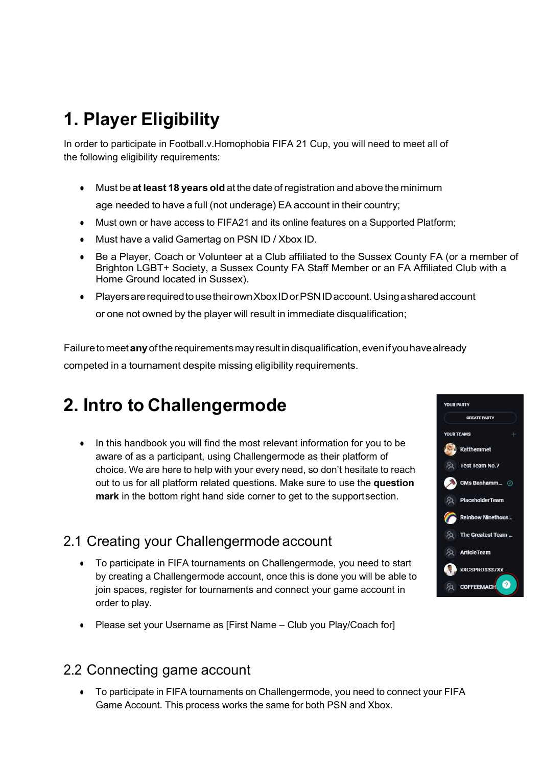# 1. Player Eligibility

In order to participate in Football.v.Homophobia FIFA 21 Cup, you will need to meet all of the following eligibility requirements:

• Must be at least 18 years old at the date of registration and above the minimum

age needed to have a full (not underage) EA account in their country;

- Must own or have access to FIFA21 and its online features on a Supported Platform;
- Must have a valid Gamertag on PSN ID / Xbox ID.
- Be a Player, Coach or Volunteer at a Club affiliated to the Sussex County FA (or a member of Brighton LGBT+ Society, a Sussex County FA Staff Member or an FA Affiliated Club with a Home Ground located in Sussex).
- Players are required to use their own Xbox ID or PSN ID account. Using a shared account or one not owned by the player will result in immediate disqualification;

Failure to meet any of the requirements may result in disqualification, even if you have already competed in a tournament despite missing eligibility requirements.

# 2. Intro to Challengermode

• In this handbook you will find the most relevant information for you to be aware of as a participant, using Challengermode as their platform of choice. We are here to help with your every need, so don't hesitate to reach out to us for all platform related questions. Make sure to use the question mark in the bottom right hand side corner to get to the support section.

### 2.1 Creating your Challengermode account

- To participate in FIFA tournaments on Challengermode, you need to start by creating a Challengermode account, once this is done you will be able to join spaces, register for tournaments and connect your game account in order to play.
- Please set your Username as [First Name Club you Play/Coach for]

#### 2.2 Connecting game account

To participate in FIFA tournaments on Challengermode, you need to connect your FIFA Game Account. This process works the same for both PSN and Xbox.

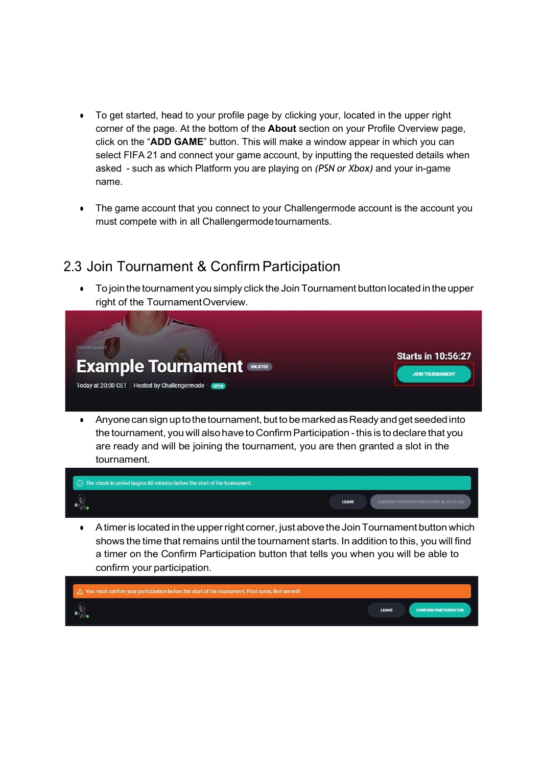- To get started, head to your profile page by clicking your, located in the upper right corner of the page. At the bottom of the About section on your Profile Overview page, click on the "ADD GAME" button. This will make a window appear in which you can select FIFA 21 and connect your game account, by inputting the requested details when asked - such as which Platform you are playing on (PSN or Xbox) and your in-game name.
- The game account that you connect to your Challengermode account is the account you must compete with in all Challengermode tournaments.

#### 2.3 Join Tournament & Confirm Participation

To join the tournament you simply click the Join Tournament button located in the upper right of the Tournament Overview.



● Anyone can sign up to the tournament, but to be marked as Ready and get seeded into the tournament, you will also have to Confirm Participation - this is to declare that you are ready and will be joining the tournament, you are then granted a slot in the tournament.



● A timer is located in the upper right corner, just above the Join Tournament button which shows the time that remains until the tournament starts. In addition to this, you will find a timer on the Confirm Participation button that tells you when you will be able to confirm your participation.

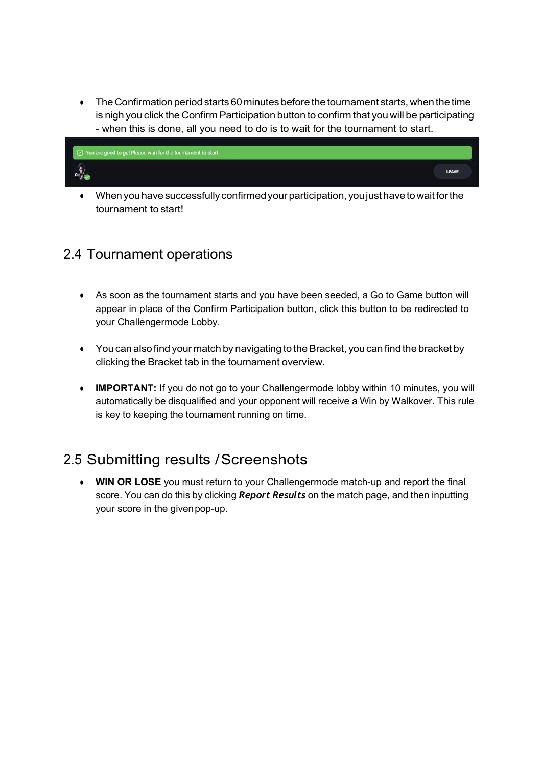• The Confirmation period starts 60 minutes before the tournament starts, when the time is nigh you click the Confirm Participation button to confirm that you will be participating



● When you have successfully confirmed your participation, you just have to wait for the tournament to start!

#### 2.4 Tournament operations

- As soon as the tournament starts and you have been seeded, a Go to Game button will appear in place of the Confirm Participation button, click this button to be redirected to your Challengermode Lobby.
- You can also find your match by navigating to the Bracket, you can find the bracket by clicking the Bracket tab in the tournament overview.
- IMPORTANT: If you do not go to your Challengermode lobby within 10 minutes, you will automatically be disqualified and your opponent will receive a Win by Walkover. This rule is key to keeping the tournament running on time.

### 2.5 Submitting results / Screenshots

• WIN OR LOSE you must return to your Challengermode match-up and report the final score. You can do this by clicking **Report Results** on the match page, and then inputting your score in the given pop-up.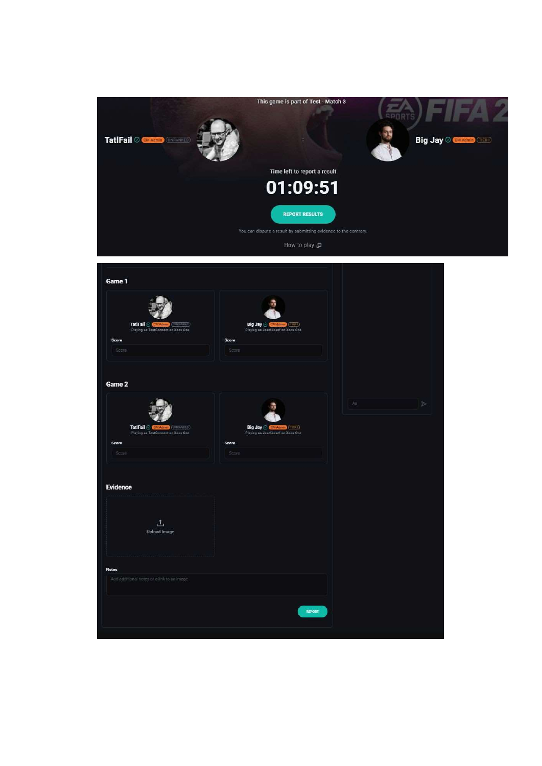

| Game 1                                                                                          |                                                                                |              |
|-------------------------------------------------------------------------------------------------|--------------------------------------------------------------------------------|--------------|
| <b>HIT (UNRANKED)</b><br>TatlFail & CMA<br>Playing as TestConnect on Xbox One<br>Score<br>Score | min (TEST)<br>Big Jay &<br>Playing as JosefJosef on Xbox One<br>Score<br>Score |              |
| Game 2                                                                                          |                                                                                |              |
| TatiFail @ CALATION (UNRANNED)<br>Playing as TestConnect on Xbox One<br>Score                   | Big Jay @ CMAtmm (TIRE)<br>Playing as JosefJosef on Xbox One<br>Score          | As<br>$\geq$ |
| Score                                                                                           | Sopre <sup>:</sup>                                                             |              |
| <b>Evidence</b>                                                                                 |                                                                                |              |
| 土<br><b>Upload Image</b>                                                                        |                                                                                |              |
| <b>Notes</b><br>Add additional notes or a link to an image                                      |                                                                                |              |
|                                                                                                 |                                                                                |              |
|                                                                                                 | REPORT                                                                         |              |
|                                                                                                 |                                                                                |              |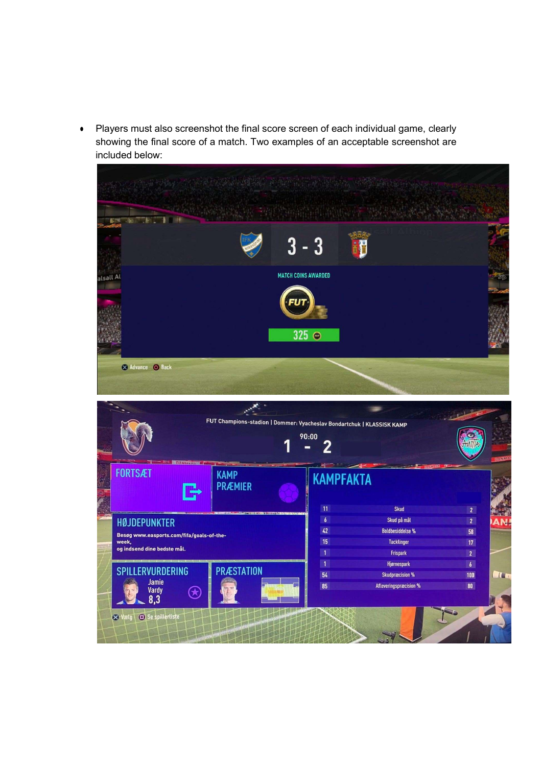● Players must also screenshot the final score screen of each individual game, clearly showing the final score of a match. Two examples of an acceptable screenshot are included below:

|                                                                                                          | Service when the communication with the                                                   |                                                                         |                                                            |
|----------------------------------------------------------------------------------------------------------|-------------------------------------------------------------------------------------------|-------------------------------------------------------------------------|------------------------------------------------------------|
| <b>TELE</b><br>le F                                                                                      | $3 - 3$                                                                                   |                                                                         |                                                            |
| alsall Al                                                                                                | <b>MATCH COINS AWARDED</b><br>$325$ $\odot$                                               |                                                                         |                                                            |
| Advance O Back                                                                                           | FUT Champions-stadion   Dommer: Vyacheslav Bondartchuk   KLASSISK KAMP<br>90:00<br>1<br>2 |                                                                         |                                                            |
| <b>FORTSÆT</b><br>KAMP<br><b>PRÆMIER</b>                                                                 | <b>KAMPFAKTA</b><br>11                                                                    | <b>Skud</b>                                                             | <b>DANKE</b><br>$\overline{2}$                             |
| <b>HØJDEPUNKTER</b><br>Besøg www.easports.com/fifa/goals-of-the-<br>week,<br>og indsend dine bedste mål. | $\boldsymbol{b}$<br>42<br>15<br>$\overline{1}$                                            | Skud på mål<br><b>Boldbesiddelse %</b><br><b>Tacklinger</b><br>Frispark | 2 <sup>7</sup><br><b>AN!</b><br>58<br>17<br>$\overline{2}$ |

54

85

**Skudpræcision %** 

Afleveringspræcision %

 $\boxed{100}$ 

 $80$ 

**A**C

**SPILLERVURDERING** 

Jamie<br>Vardy<br>8,3

Vætg Se spillertiste

 $\bigcirc$ 

**PRÆSTATION**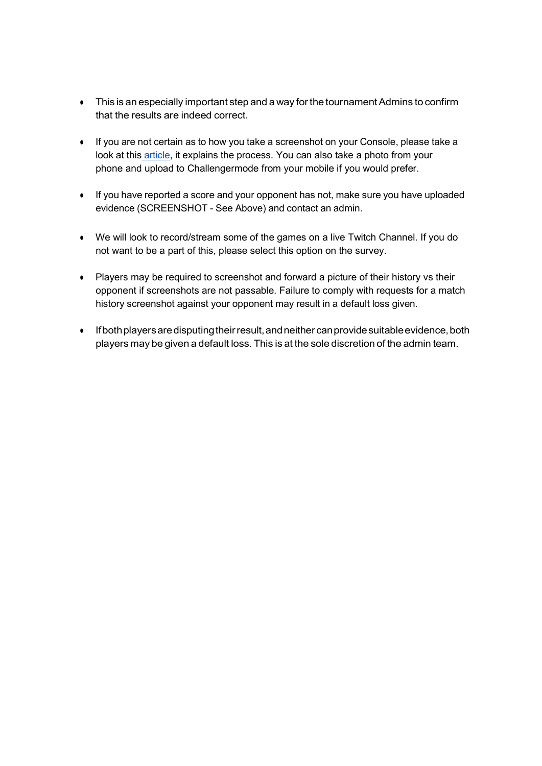- This is an especially important step and a way for the tournament Admins to confirm that the results are indeed correct.
- If you are not certain as to how you take a screenshot on your Console, please take a look at this article, it explains the process. You can also take a photo from your phone and upload to Challengermode from your mobile if you would prefer.
- If you have reported a score and your opponent has not, make sure you have uploaded evidence (SCREENSHOT - See Above) and contact an admin.
- We will look to record/stream some of the games on a live Twitch Channel. If you do not want to be a part of this, please select this option on the survey.
- Players may be required to screenshot and forward a picture of their history vs their opponent if screenshots are not passable. Failure to comply with requests for a match history screenshot against your opponent may result in a default loss given.
- If both players are disputing their result, and neither can provide suitable evidence, both players may be given a default loss. This is at the sole discretion of the admin team.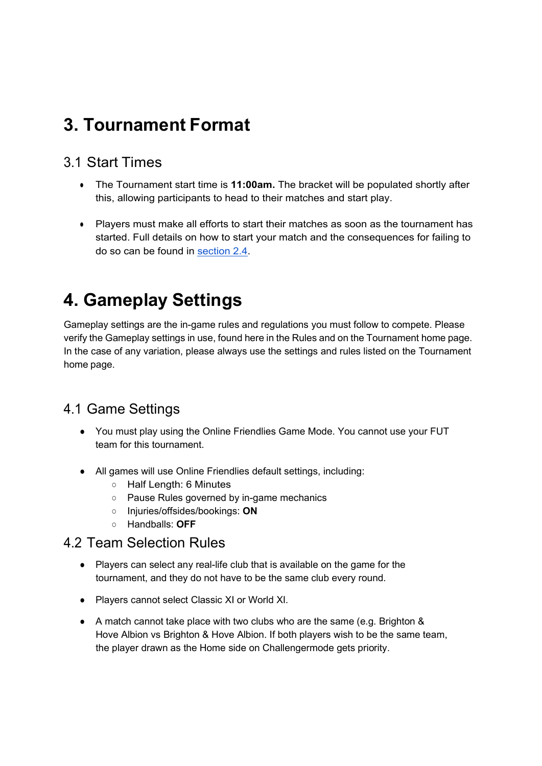# 3. Tournament Format

#### 3.1 Start Times

- The Tournament start time is **11:00am.** The bracket will be populated shortly after this, allowing participants to head to their matches and start play.
- Players must make all efforts to start their matches as soon as the tournament has started. Full details on how to start your match and the consequences for failing to do so can be found in section 2.4.

# 4. Gameplay Settings

Gameplay settings are the in-game rules and regulations you must follow to compete. Please verify the Gameplay settings in use, found here in the Rules and on the Tournament home page. In the case of any variation, please always use the settings and rules listed on the Tournament home page.

### 4.1 Game Settings

- You must play using the Online Friendlies Game Mode. You cannot use your FUT team for this tournament.
- All games will use Online Friendlies default settings, including:
	- Half Length: 6 Minutes
	- Pause Rules governed by in-game mechanics
	- Injuries/offsides/bookings: **ON**
	- Handballs: **OFF**

#### 4.2 Team Selection Rules

- Players can select any real-life club that is available on the game for the tournament, and they do not have to be the same club every round.
- Players cannot select Classic XI or World XI.
- A match cannot take place with two clubs who are the same (e.g. Brighton & Hove Albion vs Brighton & Hove Albion. If both players wish to be the same team, the player drawn as the Home side on Challengermode gets priority.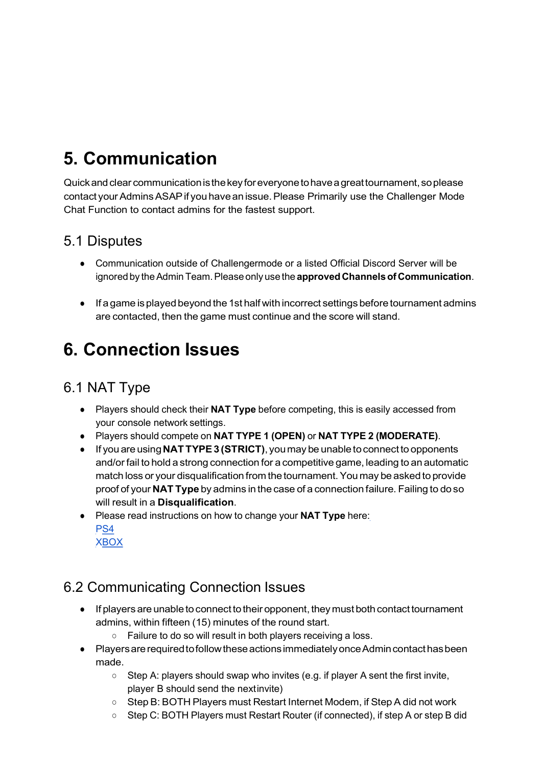# 5. Communication

Quick and clear communication is the key for everyone to have a great tournament, so please contact your Admins ASAP if you have an issue. Please Primarily use the Challenger Mode Chat Function to contact admins for the fastest support.

#### 5.1 Disputes

- Communication outside of Challengermode or a listed Official Discord Server will be ignored by the Admin Team. Please only use the approved Channels of Communication.
- If a game is played beyond the 1st half with incorrect settings before tournament admins are contacted, then the game must continue and the score will stand.

# 6. Connection Issues

### 6.1 NAT Type

- Players should check their NAT Type before competing, this is easily accessed from your console network settings.
- Players should compete on NAT TYPE 1 (OPEN) or NAT TYPE 2 (MODERATE).
- If you are using NAT TYPE 3 (STRICT), you may be unable to connect to opponents and/or fail to hold a strong connection for a competitive game, leading to an automatic match loss or your disqualification from the tournament. You may be asked to provide proof of your NAT Type by admins in the case of a connection failure. Failing to do so will result in a Disqualification.
- Please read instructions on how to change your NAT Type here: P<sub>S4</sub> **XBOX**

### 6.2 Communicating Connection Issues

- If players are unable to connect to their opponent, they must both contact tournament admins, within fifteen (15) minutes of the round start.
	- Failure to do so will result in both players receiving a loss.
- Players are required to follow these actions immediately once Admin contact has been made.
	- Step A: players should swap who invites (e.g. if player A sent the first invite, player B should send the nextinvite)
	- Step B: BOTH Players must Restart Internet Modem, if Step A did not work
	- Step C: BOTH Players must Restart Router (if connected), if step A or step B did